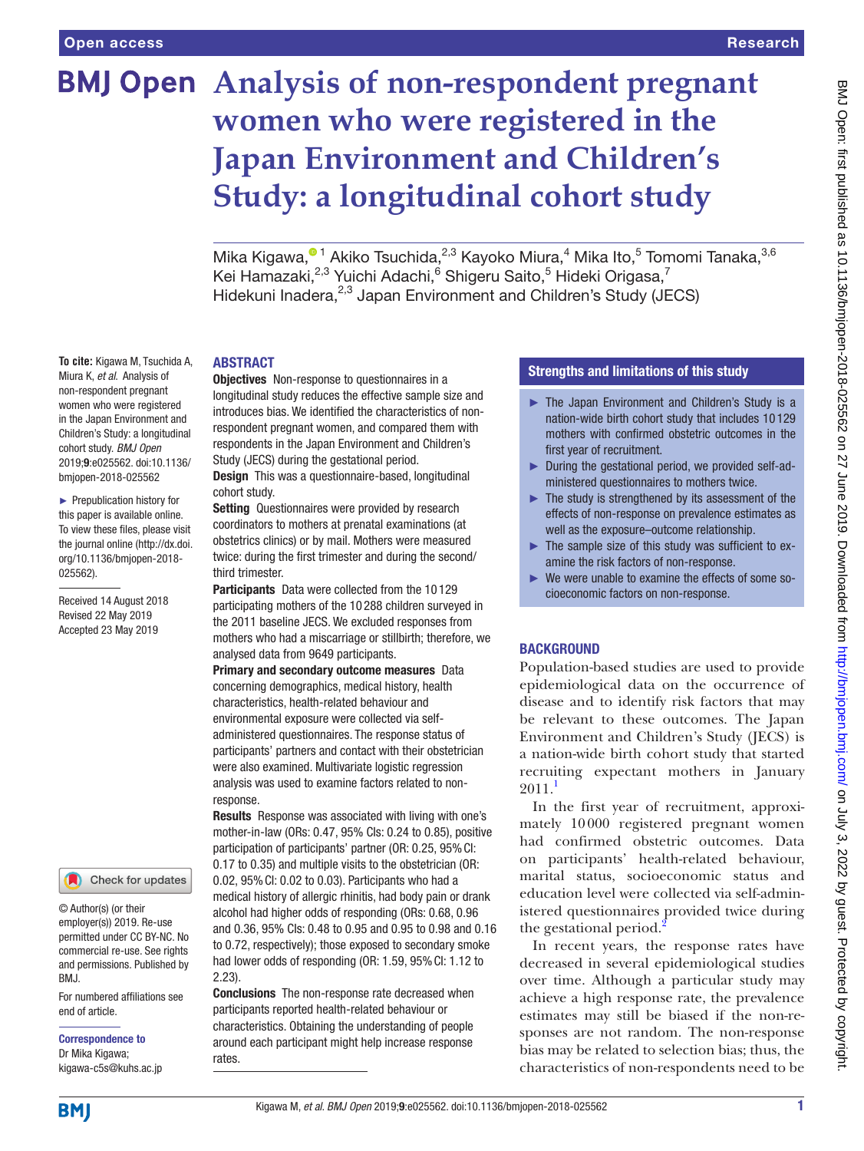**To cite:** Kigawa M, Tsuchida A, Miura K, *et al*. Analysis of non-respondent pregnant women who were registered in the Japan Environment and Children's Study: a longitudinal cohort study. *BMJ Open* 2019;9:e025562. doi:10.1136/ bmjopen-2018-025562 ► Prepublication history for this paper is available online. To view these files, please visit the journal online [\(http://dx.doi.](http://dx.doi.org/10.1136/bmjopen-2018-025562) [org/10.1136/bmjopen-2018-](http://dx.doi.org/10.1136/bmjopen-2018-025562)

[025562\)](http://dx.doi.org/10.1136/bmjopen-2018-025562).

Received 14 August 2018 Revised 22 May 2019 Accepted 23 May 2019

# **BMJ Open** Analysis of non-respondent pregnant **women who were registered in the Japan Environment and Children's Study: a longitudinal cohort study**

MikaKigawa,<sup>01</sup> Akiko Tsuchida,<sup>2,3</sup> Kayoko Miura,<sup>4</sup> Mika Ito,<sup>5</sup> Tomomi Tanaka,<sup>3,6</sup> Kei Hamazaki, $^{2,3}$  Yuichi Adachi, $^6$  Shigeru Saito, $^5$  Hideki Origasa, $^7$ Hidekuni Inadera,<sup>2,3</sup> Japan Environment and Children's Study (JECS)

#### **ABSTRACT**

**Objectives** Non-response to questionnaires in a longitudinal study reduces the effective sample size and introduces bias. We identified the characteristics of nonrespondent pregnant women, and compared them with respondents in the Japan Environment and Children's Study (JECS) during the gestational period.

Design This was a questionnaire-based, longitudinal cohort study.

**Setting** Questionnaires were provided by research coordinators to mothers at prenatal examinations (at obstetrics clinics) or by mail. Mothers were measured twice: during the first trimester and during the second/ third trimester.

Participants Data were collected from the 10129 participating mothers of the 10 288 children surveyed in the 2011 baseline JECS. We excluded responses from mothers who had a miscarriage or stillbirth; therefore, we analysed data from 9649 participants.

Primary and secondary outcome measures Data concerning demographics, medical history, health characteristics, health-related behaviour and environmental exposure were collected via selfadministered questionnaires. The response status of participants' partners and contact with their obstetrician were also examined. Multivariate logistic regression analysis was used to examine factors related to nonresponse.

Results Response was associated with living with one's mother-in-law (ORs: 0.47, 95% CIs: 0.24 to 0.85), positive participation of participants' partner (OR: 0.25, 95% CI: 0.17 to 0.35) and multiple visits to the obstetrician (OR: 0.02, 95%CI: 0.02 to 0.03). Participants who had a medical history of allergic rhinitis, had body pain or drank alcohol had higher odds of responding (ORs: 0.68, 0.96 and 0.36, 95% CIs: 0.48 to 0.95 and 0.95 to 0.98 and 0.16 to 0.72, respectively); those exposed to secondary smoke had lower odds of responding (OR: 1.59, 95% Cl: 1.12 to 2.23).

Conclusions The non-response rate decreased when participants reported health-related behaviour or characteristics. Obtaining the understanding of people around each participant might help increase response rates.

#### Strengths and limitations of this study

- ► The Japan Environment and Children's Study is a nation-wide birth cohort study that includes 10 129 mothers with confirmed obstetric outcomes in the first year of recruitment.
- ► During the gestational period, we provided self-administered questionnaires to mothers twice.
- $\blacktriangleright$  The study is strengthened by its assessment of the effects of non-response on prevalence estimates as well as the exposure–outcome relationship.
- ► The sample size of this study was sufficient to examine the risk factors of non-response.
- ► We were unable to examine the effects of some socioeconomic factors on non-response.

## **BACKGROUND**

Population-based studies are used to provide epidemiological data on the occurrence of disease and to identify risk factors that may be relevant to these outcomes. The Japan Environment and Children's Study (JECS) is a nation-wide birth cohort study that started recruiting expectant mothers in January  $2011.<sup>1</sup>$  $2011.<sup>1</sup>$  $2011.<sup>1</sup>$ 

In the first year of recruitment, approximately 10000 registered pregnant women had confirmed obstetric outcomes. Data on participants' health-related behaviour, marital status, socioeconomic status and education level were collected via self-administered questionnaires provided twice during the gestational period.<sup>[2](#page-7-1)</sup>

In recent years, the response rates have decreased in several epidemiological studies over time. Although a particular study may achieve a high response rate, the prevalence estimates may still be biased if the non-responses are not random. The non-response bias may be related to selection bias; thus, the characteristics of non-respondents need to be

**BMI** 

end of article.

BMJ.

Correspondence to Dr Mika Kigawa; kigawa-c5s@kuhs.ac.jp

© Author(s) (or their employer(s)) 2019. Re-use permitted under CC BY-NC. No commercial re-use. See rights and permissions. Published by

For numbered affiliations see

Check for updates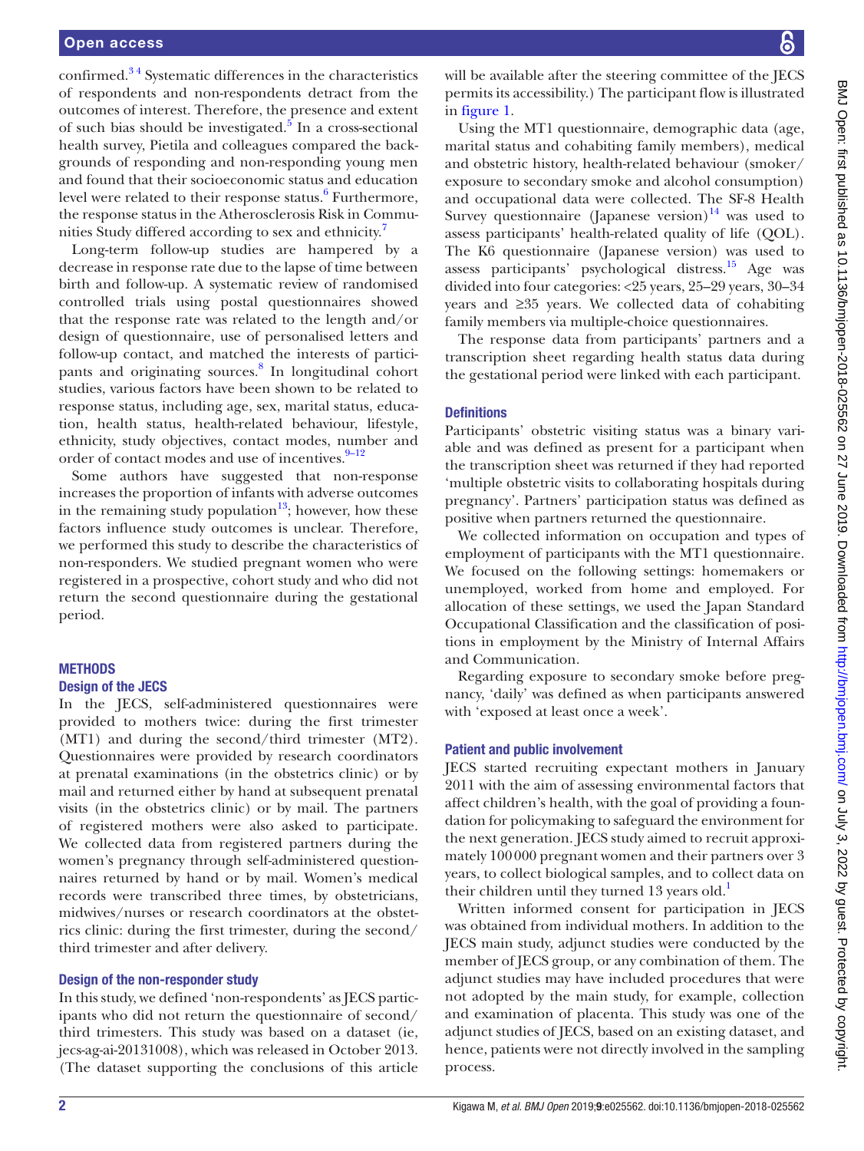confirmed.[3 4](#page-7-2) Systematic differences in the characteristics of respondents and non-respondents detract from the outcomes of interest. Therefore, the presence and extent of such bias should be investigated.<sup>[5](#page-7-3)</sup> In a cross-sectional health survey, Pietila and colleagues compared the backgrounds of responding and non-responding young men and found that their socioeconomic status and education level were related to their response status.<sup>[6](#page-7-4)</sup> Furthermore, the response status in the Atherosclerosis Risk in Communities Study differed according to sex and ethnicity.<sup>7</sup>

Long-term follow-up studies are hampered by a decrease in response rate due to the lapse of time between birth and follow-up. A systematic review of randomised controlled trials using postal questionnaires showed that the response rate was related to the length and/or design of questionnaire, use of personalised letters and follow-up contact, and matched the interests of participants and originating sources.<sup>8</sup> In longitudinal cohort studies, various factors have been shown to be related to response status, including age, sex, marital status, education, health status, health-related behaviour, lifestyle, ethnicity, study objectives, contact modes, number and order of contact modes and use of incentives. $9-12$ 

Some authors have suggested that non-response increases the proportion of infants with adverse outcomes in the remaining study population<sup>13</sup>; however, how these factors influence study outcomes is unclear. Therefore, we performed this study to describe the characteristics of non-responders. We studied pregnant women who were registered in a prospective, cohort study and who did not return the second questionnaire during the gestational period.

## **METHODS**

#### Design of the JECS

In the JECS, self-administered questionnaires were provided to mothers twice: during the first trimester (MT1) and during the second/third trimester (MT2). Questionnaires were provided by research coordinators at prenatal examinations (in the obstetrics clinic) or by mail and returned either by hand at subsequent prenatal visits (in the obstetrics clinic) or by mail. The partners of registered mothers were also asked to participate. We collected data from registered partners during the women's pregnancy through self-administered questionnaires returned by hand or by mail. Women's medical records were transcribed three times, by obstetricians, midwives/nurses or research coordinators at the obstetrics clinic: during the first trimester, during the second/ third trimester and after delivery.

#### Design of the non-responder study

In this study, we defined 'non-respondents' as JECS participants who did not return the questionnaire of second/ third trimesters. This study was based on a dataset (ie, jecs-ag-ai-20131008), which was released in October 2013. (The dataset supporting the conclusions of this article

will be available after the steering committee of the JECS permits its accessibility.) The participant flow is illustrated in [figure](#page-2-0) 1.

Using the MT1 questionnaire, demographic data (age, marital status and cohabiting family members), medical and obstetric history, health-related behaviour (smoker/ exposure to secondary smoke and alcohol consumption) and occupational data were collected. The SF-8 Health Survey questionnaire (Japanese version)<sup>14</sup> was used to assess participants' health-related quality of life (QOL). The K6 questionnaire (Japanese version) was used to assess participants' psychological distress.<sup>15</sup> Age was divided into four categories: <25 years, 25–29 years, 30–34 years and ≥35 years. We collected data of cohabiting family members via multiple-choice questionnaires.

The response data from participants' partners and a transcription sheet regarding health status data during the gestational period were linked with each participant.

## **Definitions**

Participants' obstetric visiting status was a binary variable and was defined as present for a participant when the transcription sheet was returned if they had reported 'multiple obstetric visits to collaborating hospitals during pregnancy'. Partners' participation status was defined as positive when partners returned the questionnaire.

We collected information on occupation and types of employment of participants with the MT1 questionnaire. We focused on the following settings: homemakers or unemployed, worked from home and employed. For allocation of these settings, we used the Japan Standard Occupational Classification and the classification of positions in employment by the Ministry of Internal Affairs and Communication.

Regarding exposure to secondary smoke before pregnancy, 'daily' was defined as when participants answered with 'exposed at least once a week'.

#### Patient and public involvement

JECS started recruiting expectant mothers in January 2011 with the aim of assessing environmental factors that affect children's health, with the goal of providing a foundation for policymaking to safeguard the environment for the next generation. JECS study aimed to recruit approximately 100000 pregnant women and their partners over 3 years, to collect biological samples, and to collect data on their children until they turned [1](#page-7-0)3 years old.<sup>1</sup>

Written informed consent for participation in JECS was obtained from individual mothers. In addition to the JECS main study, adjunct studies were conducted by the member of JECS group, or any combination of them. The adjunct studies may have included procedures that were not adopted by the main study, for example, collection and examination of placenta. This study was one of the adjunct studies of JECS, based on an existing dataset, and hence, patients were not directly involved in the sampling process.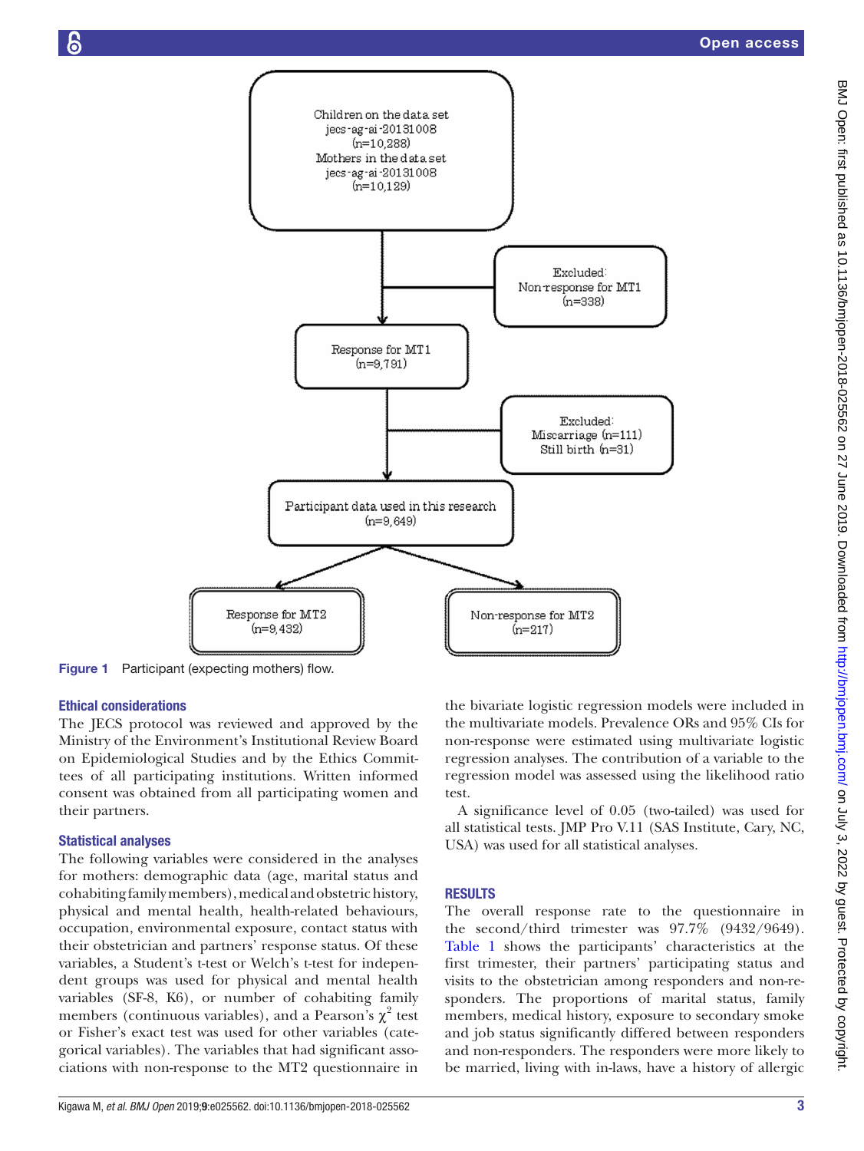



Figure 1 Participant (expecting mothers) flow.

#### Ethical considerations

The JECS protocol was reviewed and approved by the Ministry of the Environment's Institutional Review Board on Epidemiological Studies and by the Ethics Committees of all participating institutions. Written informed consent was obtained from all participating women and their partners.

#### Statistical analyses

The following variables were considered in the analyses for mothers: demographic data (age, marital status and cohabiting family members), medical and obstetric history, physical and mental health, health-related behaviours, occupation, environmental exposure, contact status with their obstetrician and partners' response status. Of these variables, a Student's t-test or Welch's t-test for independent groups was used for physical and mental health variables (SF-8, K6), or number of cohabiting family members (continuous variables), and a Pearson's  $\chi^2$  test or Fisher's exact test was used for other variables (categorical variables). The variables that had significant associations with non-response to the MT2 questionnaire in

<span id="page-2-0"></span>the bivariate logistic regression models were included in the multivariate models. Prevalence ORs and 95% CIs for non-response were estimated using multivariate logistic regression analyses. The contribution of a variable to the regression model was assessed using the likelihood ratio test.

A significance level of 0.05 (two-tailed) was used for all statistical tests. JMP Pro V.11 (SAS Institute, Cary, NC, USA) was used for all statistical analyses.

#### **RESULTS**

The overall response rate to the questionnaire in the second/third trimester was 97.7% (9432/9649). [Table](#page-3-0) 1 shows the participants' characteristics at the first trimester, their partners' participating status and visits to the obstetrician among responders and non-responders. The proportions of marital status, family members, medical history, exposure to secondary smoke and job status significantly differed between responders and non-responders. The responders were more likely to be married, living with in-laws, have a history of allergic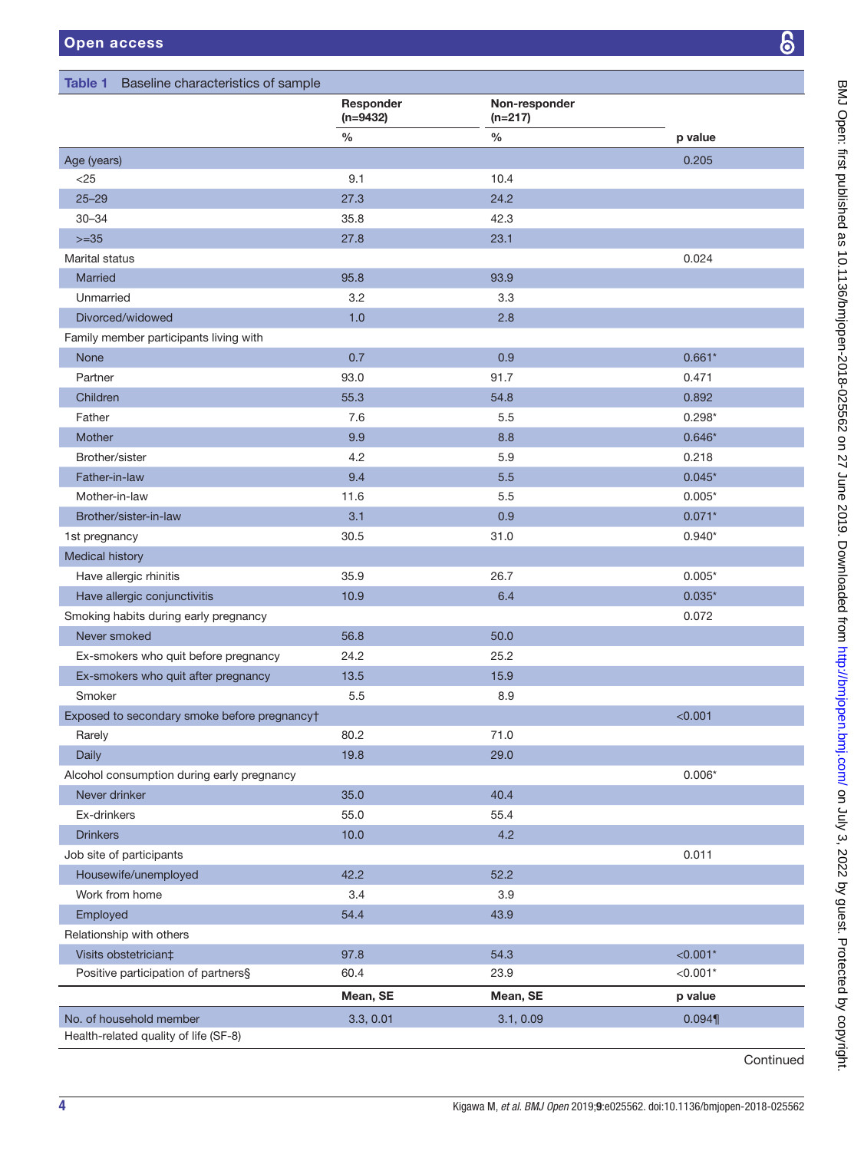BMJ Open: first published as 10.1136/bmjopen-2018-025562 on 27 June 2019. Downloaded from http://bmjopen.bmj.com/ on July 3, 2022 by guest. Protected by copyright. BMJ Open: first published as 10.1136/bmjopen-2018-025562 on 27 June 2019. Downloaded from <http://bmjopen.bmj.com/> on July 3, 2022 by guest. Protected by copyright.

<span id="page-3-0"></span>

| <b>Table 1</b><br>Baseline characteristics of sample |                         |                            |            |
|------------------------------------------------------|-------------------------|----------------------------|------------|
|                                                      | Responder<br>$(n=9432)$ | Non-responder<br>$(n=217)$ |            |
|                                                      | $\%$                    | $\%$                       | p value    |
| Age (years)                                          |                         |                            | 0.205      |
| $<$ 25                                               | 9.1                     | 10.4                       |            |
| $25 - 29$                                            | 27.3                    | 24.2                       |            |
| $30 - 34$                                            | 35.8                    | 42.3                       |            |
| $>=35$                                               | 27.8                    | 23.1                       |            |
| Marital status                                       |                         |                            | 0.024      |
| Married                                              | 95.8                    | 93.9                       |            |
| Unmarried                                            | 3.2                     | 3.3                        |            |
| Divorced/widowed                                     | 1.0                     | 2.8                        |            |
| Family member participants living with               |                         |                            |            |
| None                                                 | 0.7                     | 0.9                        | $0.661*$   |
| Partner                                              | 93.0                    | 91.7                       | 0.471      |
| Children                                             | 55.3                    | 54.8                       | 0.892      |
| Father                                               | 7.6                     | 5.5                        | $0.298*$   |
| Mother                                               | 9.9                     | 8.8                        | $0.646*$   |
| Brother/sister                                       | 4.2                     | 5.9                        | 0.218      |
| Father-in-law                                        | 9.4                     | 5.5                        | $0.045*$   |
| Mother-in-law                                        | 11.6                    | 5.5                        | $0.005*$   |
| Brother/sister-in-law                                | 3.1                     | 0.9                        | $0.071*$   |
| 1st pregnancy                                        | 30.5                    | 31.0                       | $0.940*$   |
| Medical history                                      |                         |                            |            |
| Have allergic rhinitis                               | 35.9                    | 26.7                       | $0.005*$   |
| Have allergic conjunctivitis                         | 10.9                    | 6.4                        | $0.035*$   |
| Smoking habits during early pregnancy                |                         |                            | 0.072      |
| Never smoked                                         | 56.8                    | 50.0                       |            |
| Ex-smokers who quit before pregnancy                 | 24.2                    | 25.2                       |            |
| Ex-smokers who quit after pregnancy                  | 13.5                    | 15.9                       |            |
| Smoker                                               | 5.5                     | 8.9                        |            |
| Exposed to secondary smoke before pregnancy†         |                         |                            | < 0.001    |
| Rarely                                               | 80.2                    | 71.0                       |            |
| Daily                                                | 19.8                    | 29.0                       |            |
| Alcohol consumption during early pregnancy           |                         |                            | $0.006*$   |
| Never drinker                                        | 35.0                    | 40.4                       |            |
| Ex-drinkers                                          | 55.0                    | 55.4                       |            |
| <b>Drinkers</b>                                      | 10.0                    | 4.2                        |            |
| Job site of participants                             |                         |                            | 0.011      |
| Housewife/unemployed                                 | 42.2                    | 52.2                       |            |
| Work from home                                       | 3.4                     | 3.9                        |            |
| Employed                                             | 54.4                    | 43.9                       |            |
| Relationship with others                             |                         |                            |            |
| Visits obstetrician‡                                 | 97.8                    | 54.3                       | $< 0.001*$ |
| Positive participation of partners§                  | 60.4                    | 23.9                       | $< 0.001*$ |
|                                                      | Mean, SE                | Mean, SE                   | p value    |
| No. of household member                              | 3.3, 0.01               | 3.1, 0.09                  | 0.094      |
| Health-related quality of life (SF-8)                |                         |                            |            |

Continued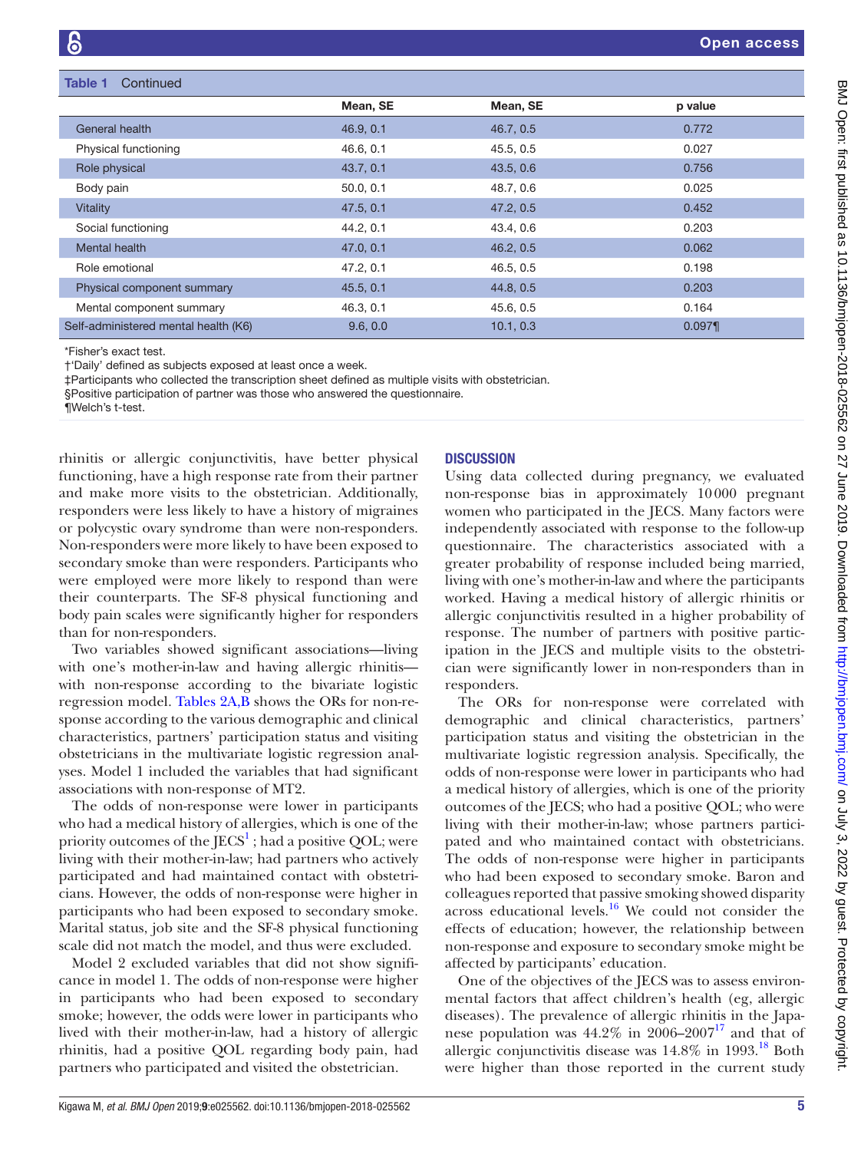# Mean, SE **Mean, SE p** value General health **46.9, 0.1** 46.9, 0.1 46.7, 0.5 0.772 Physical functioning  $46.6, 0.1$   $45.5, 0.5$  0.027 Role physical 43.7, 0.1 43.5, 0.6 0.756 Body pain 60.025 **50.0, 0.1** 50.0, 0.1 48.7, 0.6 6 10.025 10.025 Vitality 47.5, 0.1 47.2, 0.5 0.452 Social functioning **14.2, 0.1** 43.4, 0.6 **0.203** 43.4, 0.6 Mental health 47.0, 0.1 46.2, 0.5 0.062 Role emotional **47.2, 0.1** 47.2, 0.1 46.5, 0.5 **0.198** 0.198 Physical component summary  $45.5, 0.1$   $44.8, 0.5$  0.203 Mental component summary 16.3, 0.1 45.6, 0.5 45.6, 0.5 6.164 Self-administered mental health (K6) 9.6, 0.0 10.1, 0.3 0.097¶ Table 1 Continued

\*Fisher's exact test.

†'Daily' defined as subjects exposed at least once a week.

‡Participants who collected the transcription sheet defined as multiple visits with obstetrician.

§Positive participation of partner was those who answered the questionnaire.

¶Welch's t-test.

rhinitis or allergic conjunctivitis, have better physical functioning, have a high response rate from their partner and make more visits to the obstetrician. Additionally, responders were less likely to have a history of migraines or polycystic ovary syndrome than were non-responders. Non-responders were more likely to have been exposed to secondary smoke than were responders. Participants who were employed were more likely to respond than were their counterparts. The SF-8 physical functioning and body pain scales were significantly higher for responders than for non-responders.

Two variables showed significant associations—living with one's mother-in-law and having allergic rhinitis with non-response according to the bivariate logistic regression model. [Tables](#page-5-0) 2A,B shows the ORs for non-response according to the various demographic and clinical characteristics, partners' participation status and visiting obstetricians in the multivariate logistic regression analyses. Model 1 included the variables that had significant associations with non-response of MT2.

The odds of non-response were lower in participants who had a medical history of allergies, which is one of the priority outcomes of the  $\text{JECS}^1$  $\text{JECS}^1$ ; had a positive QOL; were living with their mother-in-law; had partners who actively participated and had maintained contact with obstetricians. However, the odds of non-response were higher in participants who had been exposed to secondary smoke. Marital status, job site and the SF-8 physical functioning scale did not match the model, and thus were excluded.

Model 2 excluded variables that did not show significance in model 1. The odds of non-response were higher in participants who had been exposed to secondary smoke; however, the odds were lower in participants who lived with their mother-in-law, had a history of allergic rhinitis, had a positive QOL regarding body pain, had partners who participated and visited the obstetrician.

# **DISCUSSION**

Using data collected during pregnancy, we evaluated non-response bias in approximately 10000 pregnant women who participated in the JECS. Many factors were independently associated with response to the follow-up questionnaire. The characteristics associated with a greater probability of response included being married, living with one's mother-in-law and where the participants worked. Having a medical history of allergic rhinitis or allergic conjunctivitis resulted in a higher probability of response. The number of partners with positive participation in the JECS and multiple visits to the obstetrician were significantly lower in non-responders than in responders.

The ORs for non-response were correlated with demographic and clinical characteristics, partners' participation status and visiting the obstetrician in the multivariate logistic regression analysis. Specifically, the odds of non-response were lower in participants who had a medical history of allergies, which is one of the priority outcomes of the JECS; who had a positive QOL; who were living with their mother-in-law; whose partners participated and who maintained contact with obstetricians. The odds of non-response were higher in participants who had been exposed to secondary smoke. Baron and colleagues reported that passive smoking showed disparity across educational levels.[16](#page-7-11) We could not consider the effects of education; however, the relationship between non-response and exposure to secondary smoke might be affected by participants' education.

One of the objectives of the JECS was to assess environmental factors that affect children's health (eg, allergic diseases). The prevalence of allergic rhinitis in the Japanese population was  $44.2\%$  in 2006–2007<sup>17</sup> and that of allergic conjunctivitis disease was  $14.8\%$  in 1993.<sup>18</sup> Both were higher than those reported in the current study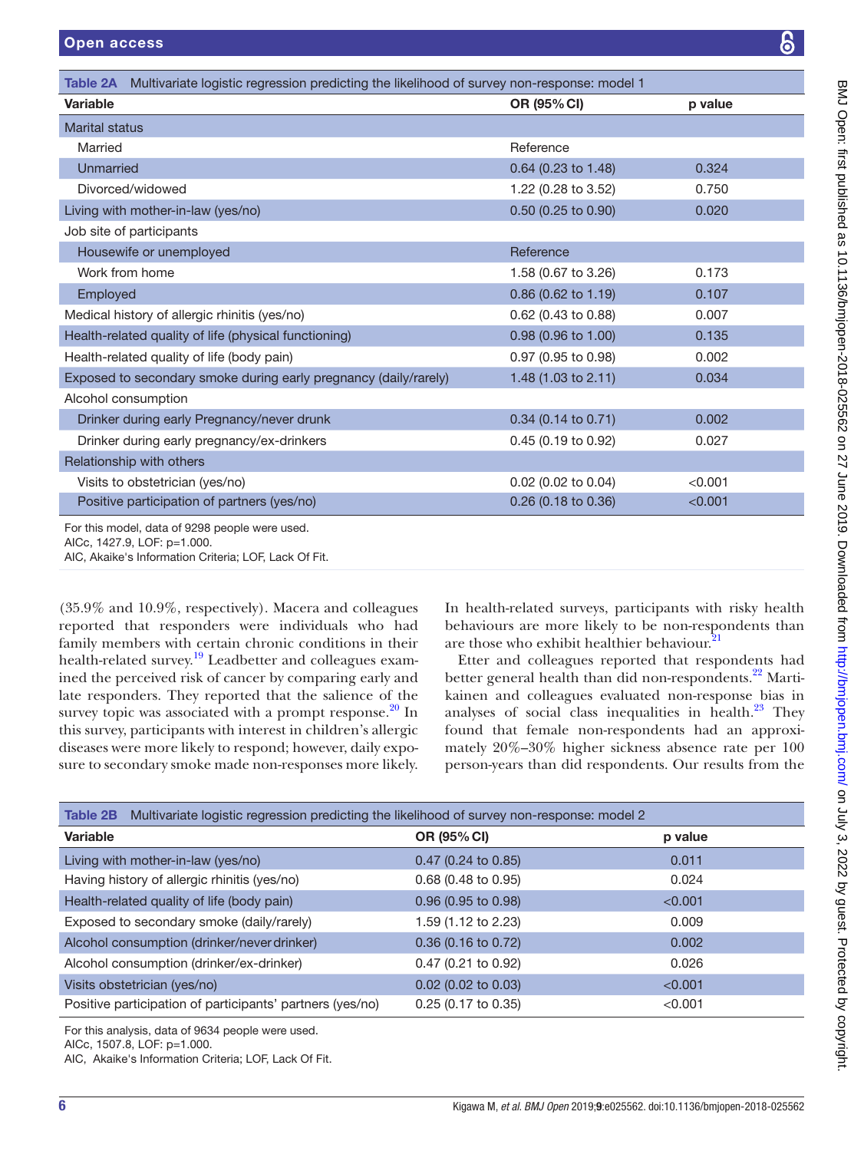<span id="page-5-0"></span>

| Multivariate logistic regression predicting the likelihood of survey non-response: model 1<br>Table 2A |                     |         |  |  |
|--------------------------------------------------------------------------------------------------------|---------------------|---------|--|--|
| Variable                                                                                               | OR (95% CI)         | p value |  |  |
| <b>Marital status</b>                                                                                  |                     |         |  |  |
| Married                                                                                                | Reference           |         |  |  |
| <b>Unmarried</b>                                                                                       | 0.64 (0.23 to 1.48) | 0.324   |  |  |
| Divorced/widowed                                                                                       | 1.22 (0.28 to 3.52) | 0.750   |  |  |
| Living with mother-in-law (yes/no)                                                                     | 0.50 (0.25 to 0.90) | 0.020   |  |  |
| Job site of participants                                                                               |                     |         |  |  |
| Housewife or unemployed                                                                                | Reference           |         |  |  |
| Work from home                                                                                         | 1.58 (0.67 to 3.26) | 0.173   |  |  |
| Employed                                                                                               | 0.86 (0.62 to 1.19) | 0.107   |  |  |
| Medical history of allergic rhinitis (yes/no)                                                          | 0.62 (0.43 to 0.88) | 0.007   |  |  |
| Health-related quality of life (physical functioning)                                                  | 0.98 (0.96 to 1.00) | 0.135   |  |  |
| Health-related quality of life (body pain)                                                             | 0.97 (0.95 to 0.98) | 0.002   |  |  |
| Exposed to secondary smoke during early pregnancy (daily/rarely)                                       | 1.48 (1.03 to 2.11) | 0.034   |  |  |
| Alcohol consumption                                                                                    |                     |         |  |  |
| Drinker during early Pregnancy/never drunk                                                             | 0.34 (0.14 to 0.71) | 0.002   |  |  |
| Drinker during early pregnancy/ex-drinkers                                                             | 0.45 (0.19 to 0.92) | 0.027   |  |  |
| Relationship with others                                                                               |                     |         |  |  |
| Visits to obstetrician (yes/no)                                                                        | 0.02 (0.02 to 0.04) | < 0.001 |  |  |
| Positive participation of partners (yes/no)                                                            | 0.26 (0.18 to 0.36) | < 0.001 |  |  |

For this model, data of 9298 people were used.

AICc, 1427.9, LOF: p=1.000.

AIC, Akaike's Information Criteria; LOF, Lack Of Fit.

(35.9% and 10.9%, respectively). Macera and colleagues reported that responders were individuals who had family members with certain chronic conditions in their health-related survey.<sup>19</sup> Leadbetter and colleagues examined the perceived risk of cancer by comparing early and late responders. They reported that the salience of the survey topic was associated with a prompt response. $20 \text{ In}$  $20 \text{ In}$ this survey, participants with interest in children's allergic diseases were more likely to respond; however, daily exposure to secondary smoke made non-responses more likely.

In health-related surveys, participants with risky health behaviours are more likely to be non-respondents than are those who exhibit healthier behaviour.<sup>2</sup>

Etter and colleagues reported that respondents had better general health than did non-respondents.<sup>22</sup> Martikainen and colleagues evaluated non-response bias in analyses of social class inequalities in health. $^{23}$  They found that female non-respondents had an approximately 20%–30% higher sickness absence rate per 100 person-years than did respondents. Our results from the

| Multivariate logistic regression predicting the likelihood of survey non-response: model 2<br>Table 2B |                       |         |  |  |
|--------------------------------------------------------------------------------------------------------|-----------------------|---------|--|--|
| <b>Variable</b>                                                                                        | OR (95% CI)           | p value |  |  |
| Living with mother-in-law (yes/no)                                                                     | $0.47$ (0.24 to 0.85) | 0.011   |  |  |
| Having history of allergic rhinitis (yes/no)                                                           | $0.68$ (0.48 to 0.95) | 0.024   |  |  |
| Health-related quality of life (body pain)                                                             | $0.96$ (0.95 to 0.98) | < 0.001 |  |  |
| Exposed to secondary smoke (daily/rarely)                                                              | 1.59 (1.12 to 2.23)   | 0.009   |  |  |
| Alcohol consumption (drinker/never drinker)                                                            | $0.36$ (0.16 to 0.72) | 0.002   |  |  |
| Alcohol consumption (drinker/ex-drinker)                                                               | $0.47$ (0.21 to 0.92) | 0.026   |  |  |
| Visits obstetrician (yes/no)                                                                           | $0.02$ (0.02 to 0.03) | < 0.001 |  |  |
| Positive participation of participants' partners (yes/no)                                              | $0.25$ (0.17 to 0.35) | < 0.001 |  |  |

For this analysis, data of 9634 people were used.

AICc, 1507.8, LOF: p=1.000.

AIC, Akaike's Information Criteria; LOF, Lack Of Fit.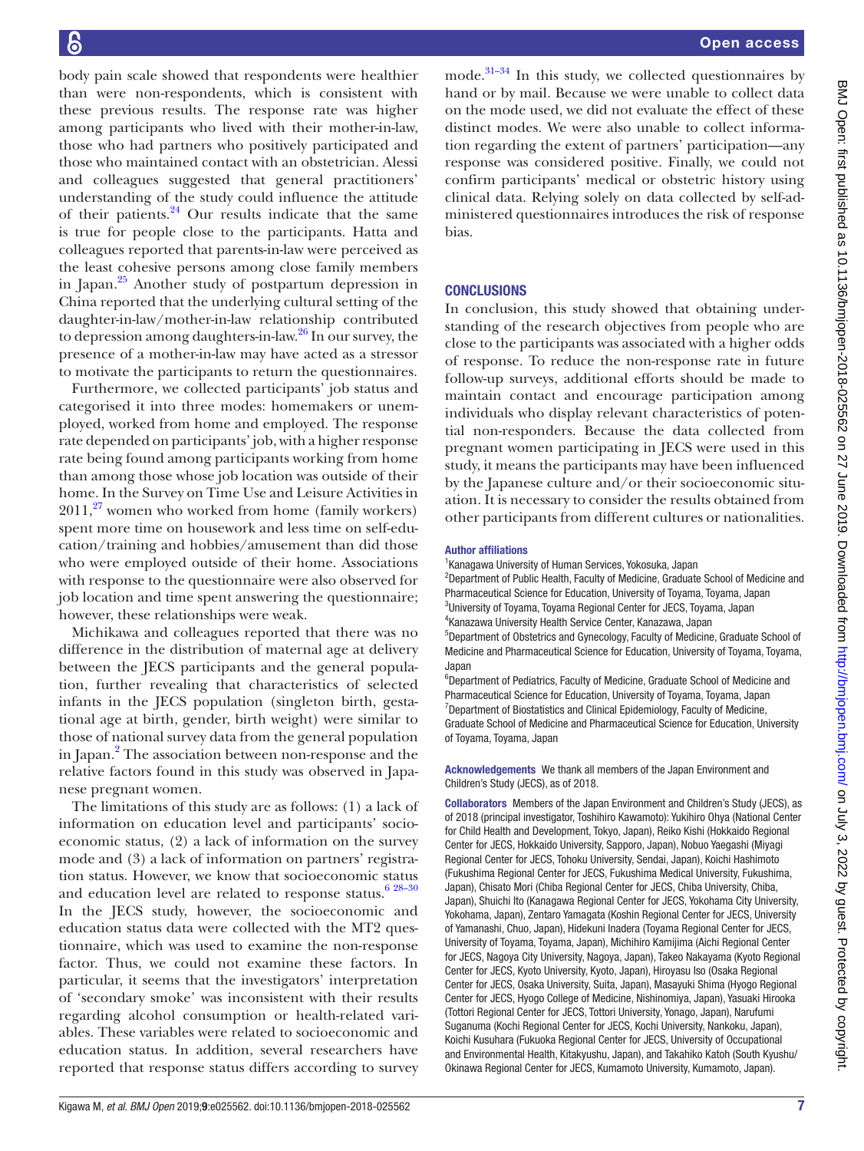body pain scale showed that respondents were healthier than were non-respondents, which is consistent with these previous results. The response rate was higher among participants who lived with their mother-in-law, those who had partners who positively participated and those who maintained contact with an obstetrician. Alessi and colleagues suggested that general practitioners' understanding of the study could influence the attitude of their patients. $24$  Our results indicate that the same is true for people close to the participants. Hatta and colleagues reported that parents-in-law were perceived as the least cohesive persons among close family members in Japan[.25](#page-7-20) Another study of postpartum depression in China reported that the underlying cultural setting of the daughter-in-law/mother-in-law relationship contributed to depression among daughters-in-law.[26](#page-7-21) In our survey, the presence of a mother-in-law may have acted as a stressor to motivate the participants to return the questionnaires.

Furthermore, we collected participants' job status and categorised it into three modes: homemakers or unemployed, worked from home and employed. The response rate depended on participants' job, with a higher response rate being found among participants working from home than among those whose job location was outside of their home. In the Survey on Time Use and Leisure Activities in  $2011<sup>27</sup>$  women who worked from home (family workers) spent more time on housework and less time on self-education/training and hobbies/amusement than did those who were employed outside of their home. Associations with response to the questionnaire were also observed for job location and time spent answering the questionnaire; however, these relationships were weak.

Michikawa and colleagues reported that there was no difference in the distribution of maternal age at delivery between the JECS participants and the general population, further revealing that characteristics of selected infants in the JECS population (singleton birth, gestational age at birth, gender, birth weight) were similar to those of national survey data from the general population in Japan.<sup>2</sup> The association between non-response and the relative factors found in this study was observed in Japanese pregnant women.

The limitations of this study are as follows: (1) a lack of information on education level and participants' socioeconomic status, (2) a lack of information on the survey mode and (3) a lack of information on partners' registration status. However, we know that socioeconomic status and education level are related to response status. $6^{28-30}$ In the JECS study, however, the socioeconomic and education status data were collected with the MT2 questionnaire, which was used to examine the non-response factor. Thus, we could not examine these factors. In particular, it seems that the investigators' interpretation of 'secondary smoke' was inconsistent with their results regarding alcohol consumption or health-related variables. These variables were related to socioeconomic and education status. In addition, several researchers have reported that response status differs according to survey

mode. $31-34$  In this study, we collected questionnaires by hand or by mail. Because we were unable to collect data on the mode used, we did not evaluate the effect of these distinct modes. We were also unable to collect information regarding the extent of partners' participation—any response was considered positive. Finally, we could not confirm participants' medical or obstetric history using clinical data. Relying solely on data collected by self-administered questionnaires introduces the risk of response bias.

# **CONCLUSIONS**

In conclusion, this study showed that obtaining understanding of the research objectives from people who are close to the participants was associated with a higher odds of response. To reduce the non-response rate in future follow-up surveys, additional efforts should be made to maintain contact and encourage participation among individuals who display relevant characteristics of potential non-responders. Because the data collected from pregnant women participating in JECS were used in this study, it means the participants may have been influenced by the Japanese culture and/or their socioeconomic situation. It is necessary to consider the results obtained from other participants from different cultures or nationalities.

#### Author affiliations

<sup>1</sup> Kanagawa University of Human Services, Yokosuka, Japan

<sup>2</sup>Department of Public Health, Faculty of Medicine, Graduate School of Medicine and Pharmaceutical Science for Education, University of Toyama, Toyama, Japan 3 University of Toyama, Toyama Regional Center for JECS, Toyama, Japan 4 Kanazawa University Health Service Center, Kanazawa, Japan

5 Department of Obstetrics and Gynecology, Faculty of Medicine, Graduate School of Medicine and Pharmaceutical Science for Education, University of Toyama, Toyama, Japan

<sup>6</sup>Department of Pediatrics, Faculty of Medicine, Graduate School of Medicine and Pharmaceutical Science for Education, University of Toyama, Toyama, Japan <sup>7</sup>Department of Biostatistics and Clinical Epidemiology, Faculty of Medicine, Graduate School of Medicine and Pharmaceutical Science for Education, University of Toyama, Toyama, Japan

Acknowledgements We thank all members of the Japan Environment and Children's Study (JECS), as of 2018.

Collaborators Members of the Japan Environment and Children's Study (JECS), as of 2018 (principal investigator, Toshihiro Kawamoto): Yukihiro Ohya (National Center for Child Health and Development, Tokyo, Japan), Reiko Kishi (Hokkaido Regional Center for JECS, Hokkaido University, Sapporo, Japan), Nobuo Yaegashi (Miyagi Regional Center for JECS, Tohoku University, Sendai, Japan), Koichi Hashimoto (Fukushima Regional Center for JECS, Fukushima Medical University, Fukushima, Japan), Chisato Mori (Chiba Regional Center for JECS, Chiba University, Chiba, Japan), Shuichi Ito (Kanagawa Regional Center for JECS, Yokohama City University, Yokohama, Japan), Zentaro Yamagata (Koshin Regional Center for JECS, University of Yamanashi, Chuo, Japan), Hidekuni Inadera (Toyama Regional Center for JECS, University of Toyama, Toyama, Japan), Michihiro Kamijima (Aichi Regional Center for JECS, Nagoya City University, Nagoya, Japan), Takeo Nakayama (Kyoto Regional Center for JECS, Kyoto University, Kyoto, Japan), Hiroyasu Iso (Osaka Regional Center for JECS, Osaka University, Suita, Japan), Masayuki Shima (Hyogo Regional Center for JECS, Hyogo College of Medicine, Nishinomiya, Japan), Yasuaki Hirooka (Tottori Regional Center for JECS, Tottori University, Yonago, Japan), Narufumi Suganuma (Kochi Regional Center for JECS, Kochi University, Nankoku, Japan), Koichi Kusuhara (Fukuoka Regional Center for JECS, University of Occupational and Environmental Health, Kitakyushu, Japan), and Takahiko Katoh (South Kyushu/ Okinawa Regional Center for JECS, Kumamoto University, Kumamoto, Japan).